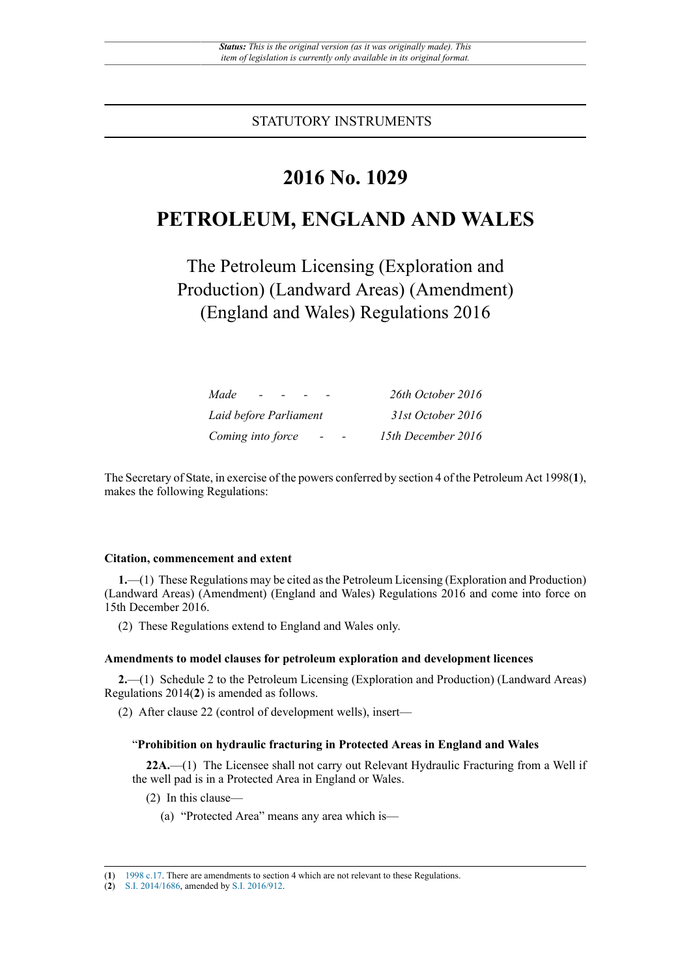STATUTORY INSTRUMENTS

# **2016 No. 1029**

# **PETROLEUM, ENGLAND AND WALES**

The Petroleum Licensing (Exploration and Production) (Landward Areas) (Amendment) (England and Wales) Regulations 2016

| Made                                          | 26th October 2016  |
|-----------------------------------------------|--------------------|
| Laid before Parliament                        | 31st October 2016  |
| Coming into force<br>$\overline{\phantom{0}}$ | 15th December 2016 |

The Secretary of State, in exercise of the powers conferred by section 4 of the Petroleum Act 1998(**1**), makes the following Regulations:

#### **Citation, commencement and extent**

**1.**—(1) These Regulations may be cited as the Petroleum Licensing (Exploration and Production) (Landward Areas) (Amendment) (England and Wales) Regulations 2016 and come into force on 15th December 2016.

(2) These Regulations extend to England and Wales only.

### **Amendments to model clauses for petroleum exploration and development licences**

**2.**—(1) Schedule 2 to the Petroleum Licensing (Exploration and Production) (Landward Areas) Regulations 2014(**2**) is amended as follows.

(2) After clause 22 (control of development wells), insert—

### "**Prohibition on hydraulic fracturing in Protected Areas in England and Wales**

**22A.**—(1) The Licensee shall not carry out Relevant Hydraulic Fracturing from a Well if the well pad is in a Protected Area in England or Wales.

- (2) In this clause—
	- (a) "Protected Area" means any area which is—

<sup>(</sup>**1**) [1998 c.17.](http://www.legislation.gov.uk/id/ukpga/1998/17) There are amendments to section 4 which are not relevant to these Regulations.

<sup>(</sup>**2**) [S.I. 2014/1686](http://www.legislation.gov.uk/id/uksi/2014/1686), amended by [S.I. 2016/912.](http://www.legislation.gov.uk/id/uksi/2016/912)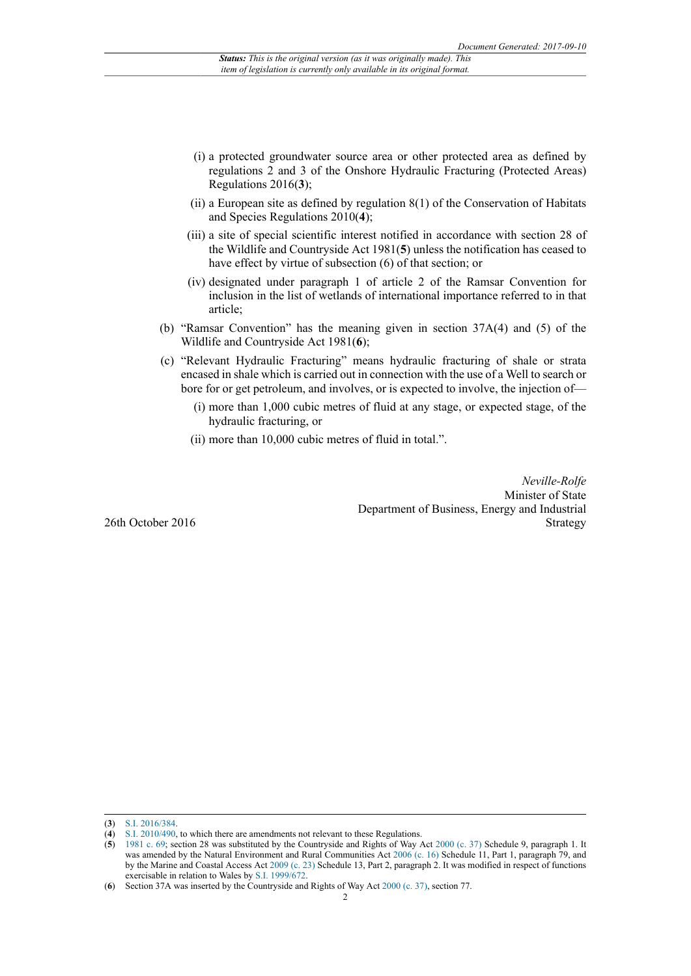- (i) a protected groundwater source area or other protected area as defined by regulations 2 and 3 of the Onshore Hydraulic Fracturing (Protected Areas) Regulations 2016(**3**);
- (ii) a European site as defined by regulation  $8(1)$  of the Conservation of Habitats and Species Regulations 2010(**4**);
- (iii) a site of special scientific interest notified in accordance with section 28 of the Wildlife and Countryside Act 1981(**5**) unless the notification has ceased to have effect by virtue of subsection (6) of that section; or
- (iv) designated under paragraph 1 of article 2 of the Ramsar Convention for inclusion in the list of wetlands of international importance referred to in that article;
- (b) "Ramsar Convention" has the meaning given in section 37A(4) and (5) of the Wildlife and Countryside Act 1981(**6**);
- (c) "Relevant Hydraulic Fracturing" means hydraulic fracturing of shale or strata encased in shale which is carried out in connection with the use of a Well to search or bore for or get petroleum, and involves, or is expected to involve, the injection of—
	- (i) more than 1,000 cubic metres of fluid at any stage, or expected stage, of the hydraulic fracturing, or
	- (ii) more than 10,000 cubic metres of fluid in total.".

*Neville-Rolfe* Minister of State Department of Business, Energy and Industrial Strategy

26th October 2016

<sup>(</sup>**3**) [S.I. 2016/384](http://www.legislation.gov.uk/id/uksi/2016/384).

<sup>(</sup>**4**) [S.I. 2010/490](http://www.legislation.gov.uk/id/uksi/2010/490), to which there are amendments not relevant to these Regulations.

<sup>(</sup>**5**) [1981 c. 69](http://www.legislation.gov.uk/id/ukpga/1981/69); section 28 was substituted by the Countryside and Rights of Way Act [2000 \(c. 37\)](http://www.legislation.gov.uk/id/ukpga/2000/37) Schedule 9, paragraph 1. It was amended by the Natural Environment and Rural Communities Act [2006 \(c. 16\)](http://www.legislation.gov.uk/id/ukpga/2006/16) Schedule 11, Part 1, paragraph 79, and by the Marine and Coastal Access Act [2009 \(c. 23\)](http://www.legislation.gov.uk/id/ukpga/2009/23) Schedule 13, Part 2, paragraph 2. It was modified in respect of functions exercisable in relation to Wales by [S.I. 1999/672](http://www.legislation.gov.uk/id/uksi/1999/672).

<sup>(</sup>**6**) Section 37A was inserted by the Countryside and Rights of Way Act [2000 \(c. 37\)](http://www.legislation.gov.uk/id/ukpga/2000/37), section 77.